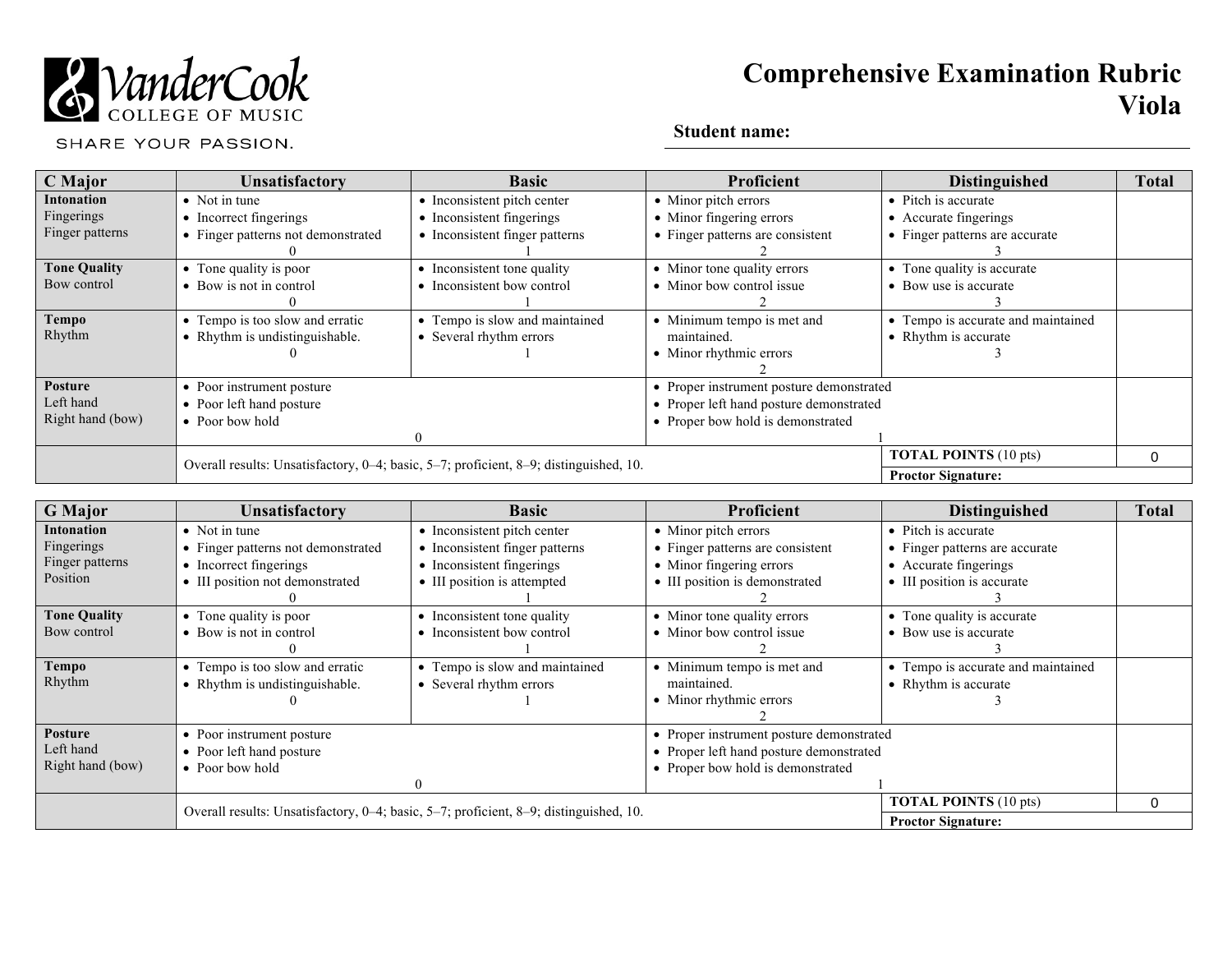

# **Comprehensive Examination Rubric Viola**

SHARE YOUR PASSION.

## **Student name:**

| C Major             | <b>Unsatisfactory</b>                                                                 | <b>Basic</b>                   | Proficient                              | <b>Distinguished</b>                     | <b>Total</b> |
|---------------------|---------------------------------------------------------------------------------------|--------------------------------|-----------------------------------------|------------------------------------------|--------------|
| <b>Intonation</b>   | $\bullet$ Not in tune                                                                 | • Inconsistent pitch center    | • Minor pitch errors                    | • Pitch is accurate                      |              |
| Fingerings          | • Incorrect fingerings                                                                | • Inconsistent fingerings      | • Minor fingering errors                | • Accurate fingerings                    |              |
| Finger patterns     | • Finger patterns not demonstrated                                                    | • Inconsistent finger patterns | • Finger patterns are consistent        | • Finger patterns are accurate           |              |
|                     |                                                                                       |                                |                                         |                                          |              |
| <b>Tone Quality</b> | • Tone quality is poor                                                                | • Inconsistent tone quality    | • Minor tone quality errors             | • Tone quality is accurate               |              |
| Bow control         | • Bow is not in control                                                               | • Inconsistent bow control     | • Minor bow control issue               | • Bow use is accurate                    |              |
|                     |                                                                                       |                                |                                         |                                          |              |
| <b>Tempo</b>        | • Tempo is too slow and erratic                                                       | • Tempo is slow and maintained | • Minimum tempo is met and              | • Tempo is accurate and maintained       |              |
| Rhythm              | • Rhythm is undistinguishable.                                                        | • Several rhythm errors        | maintained.                             | • Rhythm is accurate                     |              |
|                     |                                                                                       |                                | • Minor rhythmic errors                 |                                          |              |
|                     |                                                                                       |                                |                                         |                                          |              |
| Posture             | • Poor instrument posture                                                             |                                |                                         | • Proper instrument posture demonstrated |              |
| Left hand           | • Poor left hand posture                                                              |                                | • Proper left hand posture demonstrated |                                          |              |
| Right hand (bow)    | • Poor bow hold                                                                       |                                | • Proper bow hold is demonstrated       |                                          |              |
|                     |                                                                                       |                                |                                         |                                          |              |
|                     | Overall results: Unsatisfactory, 0-4; basic, 5-7; proficient, 8-9; distinguished, 10. |                                |                                         | <b>TOTAL POINTS (10 pts)</b>             | 0            |
|                     |                                                                                       |                                | <b>Proctor Signature:</b>               |                                          |              |

| <b>G</b> Major      | <b>Unsatisfactory</b>                                                                 | <b>Basic</b>                   | Proficient                               | <b>Distinguished</b>               | <b>Total</b> |
|---------------------|---------------------------------------------------------------------------------------|--------------------------------|------------------------------------------|------------------------------------|--------------|
| <b>Intonation</b>   | $\bullet$ Not in tune                                                                 | • Inconsistent pitch center    | • Minor pitch errors                     | • Pitch is accurate                |              |
| Fingerings          | • Finger patterns not demonstrated                                                    | • Inconsistent finger patterns | • Finger patterns are consistent         | • Finger patterns are accurate     |              |
| Finger patterns     | • Incorrect fingerings                                                                | • Inconsistent fingerings      | • Minor fingering errors                 | • Accurate fingerings              |              |
| Position            | • III position not demonstrated                                                       | • III position is attempted    | • III position is demonstrated           | • III position is accurate         |              |
|                     |                                                                                       |                                |                                          |                                    |              |
| <b>Tone Quality</b> | • Tone quality is poor                                                                | • Inconsistent tone quality    | • Minor tone quality errors              | • Tone quality is accurate         |              |
| Bow control         | • Bow is not in control                                                               | • Inconsistent bow control     | • Minor bow control issue                | • Bow use is accurate              |              |
|                     |                                                                                       |                                |                                          |                                    |              |
| <b>Tempo</b>        | • Tempo is too slow and erratic                                                       | • Tempo is slow and maintained | • Minimum tempo is met and               | • Tempo is accurate and maintained |              |
| Rhythm              | • Rhythm is undistinguishable.                                                        | • Several rhythm errors        | maintained.                              | • Rhythm is accurate               |              |
|                     |                                                                                       |                                | • Minor rhythmic errors                  |                                    |              |
|                     |                                                                                       |                                |                                          |                                    |              |
| <b>Posture</b>      | • Poor instrument posture                                                             |                                | • Proper instrument posture demonstrated |                                    |              |
| Left hand           | • Poor left hand posture                                                              |                                | • Proper left hand posture demonstrated  |                                    |              |
| Right hand (bow)    | $\bullet$ Poor bow hold                                                               |                                | • Proper bow hold is demonstrated        |                                    |              |
|                     |                                                                                       |                                |                                          |                                    |              |
|                     | Overall results: Unsatisfactory, 0-4; basic, 5-7; proficient, 8-9; distinguished, 10. |                                |                                          | <b>TOTAL POINTS (10 pts)</b>       | 0            |
|                     |                                                                                       |                                |                                          | <b>Proctor Signature:</b>          |              |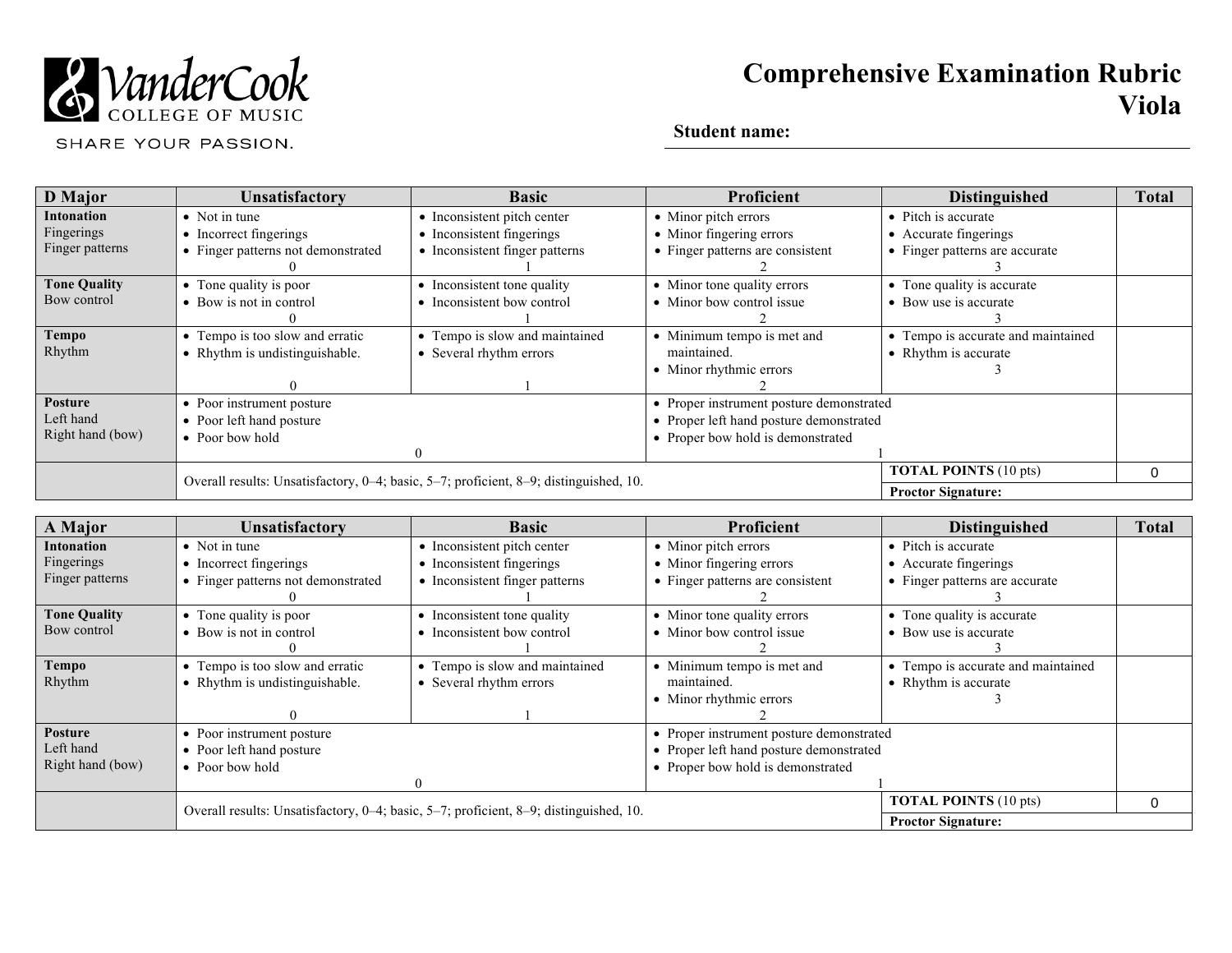

# **Comprehensive Examination Rubric Viola**

SHARE YOUR PASSION.

## **Student name:**

| <b>D</b> Major      | Unsatisfactory                                                                        | <b>Basic</b>                   | Proficient                               | <b>Distinguished</b>               | <b>Total</b> |
|---------------------|---------------------------------------------------------------------------------------|--------------------------------|------------------------------------------|------------------------------------|--------------|
| <b>Intonation</b>   | • Not in tune                                                                         | • Inconsistent pitch center    | • Minor pitch errors                     | • Pitch is accurate                |              |
| Fingerings          | • Incorrect fingerings                                                                | • Inconsistent fingerings      | • Minor fingering errors                 | • Accurate fingerings              |              |
| Finger patterns     | • Finger patterns not demonstrated                                                    | • Inconsistent finger patterns | • Finger patterns are consistent         | • Finger patterns are accurate     |              |
|                     |                                                                                       |                                |                                          |                                    |              |
| <b>Tone Quality</b> | • Tone quality is poor                                                                | • Inconsistent tone quality    | • Minor tone quality errors              | • Tone quality is accurate         |              |
| Bow control         | • Bow is not in control                                                               | • Inconsistent bow control     | • Minor bow control issue                | • Bow use is accurate              |              |
|                     |                                                                                       |                                |                                          |                                    |              |
| <b>Tempo</b>        | • Tempo is too slow and erratic                                                       | • Tempo is slow and maintained | • Minimum tempo is met and               | • Tempo is accurate and maintained |              |
| Rhythm              | • Rhythm is undistinguishable.                                                        | • Several rhythm errors        | maintained.                              | • Rhythm is accurate               |              |
|                     |                                                                                       |                                | • Minor rhythmic errors                  |                                    |              |
|                     |                                                                                       |                                |                                          |                                    |              |
| <b>Posture</b>      | • Poor instrument posture                                                             |                                | • Proper instrument posture demonstrated |                                    |              |
| Left hand           | • Poor left hand posture                                                              |                                | • Proper left hand posture demonstrated  |                                    |              |
| Right hand (bow)    | $\bullet$ Poor bow hold                                                               |                                | • Proper bow hold is demonstrated        |                                    |              |
|                     |                                                                                       | $\Omega$                       |                                          |                                    |              |
|                     | Overall results: Unsatisfactory, 0-4; basic, 5-7; proficient, 8-9; distinguished, 10. |                                |                                          | <b>TOTAL POINTS (10 pts)</b>       | 0            |
|                     |                                                                                       |                                |                                          | <b>Proctor Signature:</b>          |              |

| A Major             | <b>Unsatisfactory</b>                                                                 | <b>Basic</b>                   | Proficient                               | <b>Distinguished</b>               | <b>Total</b> |
|---------------------|---------------------------------------------------------------------------------------|--------------------------------|------------------------------------------|------------------------------------|--------------|
| <b>Intonation</b>   | $\bullet$ Not in tune                                                                 | • Inconsistent pitch center    | • Minor pitch errors                     | • Pitch is accurate                |              |
| Fingerings          | • Incorrect fingerings                                                                | • Inconsistent fingerings      | • Minor fingering errors                 | • Accurate fingerings              |              |
| Finger patterns     | • Finger patterns not demonstrated                                                    | • Inconsistent finger patterns | • Finger patterns are consistent         | • Finger patterns are accurate     |              |
|                     |                                                                                       |                                |                                          |                                    |              |
| <b>Tone Quality</b> | • Tone quality is poor                                                                | • Inconsistent tone quality    | • Minor tone quality errors              | • Tone quality is accurate         |              |
| Bow control         | • Bow is not in control                                                               | • Inconsistent bow control     | • Minor bow control issue                | • Bow use is accurate              |              |
|                     |                                                                                       |                                |                                          |                                    |              |
| <b>Tempo</b>        | • Tempo is too slow and erratic                                                       | • Tempo is slow and maintained | • Minimum tempo is met and               | • Tempo is accurate and maintained |              |
| Rhythm              | • Rhythm is undistinguishable.                                                        | • Several rhythm errors        | maintained.                              | • Rhythm is accurate               |              |
|                     |                                                                                       |                                | • Minor rhythmic errors                  |                                    |              |
|                     |                                                                                       |                                |                                          |                                    |              |
| <b>Posture</b>      | • Poor instrument posture                                                             |                                | • Proper instrument posture demonstrated |                                    |              |
| Left hand           | • Poor left hand posture                                                              |                                | • Proper left hand posture demonstrated  |                                    |              |
| Right hand (bow)    | • Poor bow hold                                                                       |                                | • Proper bow hold is demonstrated        |                                    |              |
|                     |                                                                                       |                                |                                          |                                    |              |
|                     | Overall results: Unsatisfactory, 0-4; basic, 5-7; proficient, 8-9; distinguished, 10. |                                |                                          | <b>TOTAL POINTS (10 pts)</b>       | 0            |
|                     |                                                                                       |                                |                                          | <b>Proctor Signature:</b>          |              |